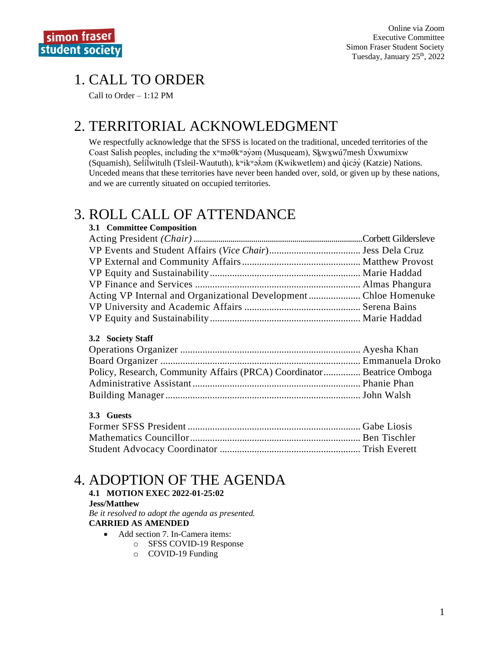# 1. CALL TO ORDER

Call to Order – 1:12 PM

# 2. TERRITORIAL ACKNOWLEDGMENT

We respectfully acknowledge that the SFSS is located on the traditional, unceded territories of the Coast Salish peoples, including the xʷməθkʷəy̓əm (Musqueam), Sḵwx̱wú7mesh Úxwumixw (Squamish), Selilwitulh (Tsleil-Waututh), k<sup>w</sup>ik<sup>w</sup>ə $\hat{x}$ əm (Kwikwetlem) and qıcəy (Katzie) Nations. ̓ Unceded means that these territories have never been handed over, sold, or given up by these nations, and we are currently situated on occupied territories.

# 3. ROLL CALL OF ATTENDANCE

| 3.1 Committee Composition                                       |  |
|-----------------------------------------------------------------|--|
|                                                                 |  |
|                                                                 |  |
|                                                                 |  |
|                                                                 |  |
|                                                                 |  |
| Acting VP Internal and Organizational DevelopmentChloe Homenuke |  |
|                                                                 |  |
|                                                                 |  |

#### **3.2 Society Staff**

| Policy, Research, Community Affairs (PRCA) Coordinator Beatrice Omboga |  |
|------------------------------------------------------------------------|--|
|                                                                        |  |
|                                                                        |  |

### **3.3 Guests**

# 4. ADOPTION OF THE AGENDA

**4.1 MOTION EXEC 2022-01-25:02 Jess/Matthew** *Be it resolved to adopt the agenda as presented.*

### **CARRIED AS AMENDED**

- Add section 7. In-Camera items:
	- o SFSS COVID-19 Response
	- o COVID-19 Funding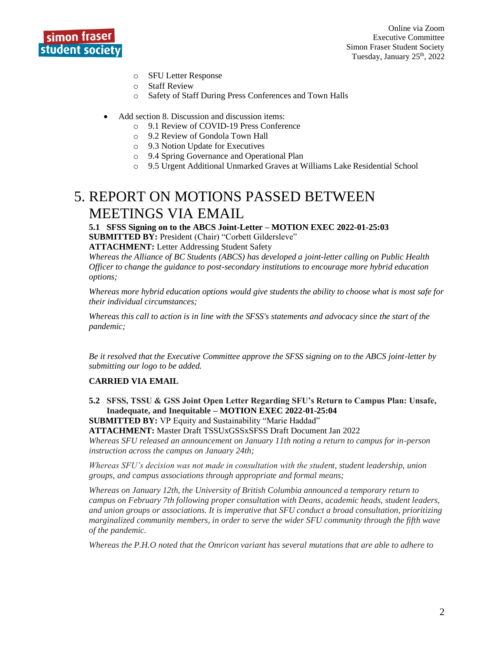

- o SFU Letter Response
- o Staff Review
- o Safety of Staff During Press Conferences and Town Halls
- Add section 8. Discussion and discussion items:
	- o 9.1 Review of COVID-19 Press Conference
	- o 9.2 Review of Gondola Town Hall
	- o 9.3 Notion Update for Executives
	- o 9.4 Spring Governance and Operational Plan
	- o 9.5 Urgent Additional Unmarked Graves at Williams Lake Residential School

# 5. REPORT ON MOTIONS PASSED BETWEEN MEETINGS VIA EMAIL

**5.1 SFSS Signing on to the ABCS Joint-Letter – MOTION EXEC 2022-01-25:03 SUBMITTED BY:** President (Chair) "Corbett Gildersleve" **ATTACHMENT:** Letter Addressing Student Safety

*Whereas the Alliance of BC Students (ABCS) has developed a joint-letter calling on Public Health Officer to change the guidance to post-secondary institutions to encourage more hybrid education options;*

*Whereas more hybrid education options would give students the ability to choose what is most safe for their individual circumstances;*

*Whereas this call to action is in line with the SFSS's statements and advocacy since the start of the pandemic;*

*Be it resolved that the Executive Committee approve the SFSS signing on to the ABCS joint-letter by submitting our logo to be added.*

#### **CARRIED VIA EMAIL**

**5.2 SFSS, TSSU & GSS Joint Open Letter Regarding SFU's Return to Campus Plan: Unsafe, Inadequate, and Inequitable – MOTION EXEC 2022-01-25:04**

**SUBMITTED BY:** VP Equity and Sustainability "Marie Haddad" **ATTACHMENT:** Master Draft TSSUxGSSxSFSS Draft Document Jan 2022 *Whereas SFU released an announcement on January 11th noting a return to campus for in-person instruction across the campus on January 24th;*

*Whereas SFU's decision was not made in consultation with the student, student leadership, union groups, and campus associations through appropriate and formal means;*

*Whereas on January 12th, the University of British Columbia announced a temporary return to campus on February 7th following proper consultation with Deans, academic heads, student leaders, and union groups or associations. It is imperative that SFU conduct a broad consultation, prioritizing marginalized community members, in order to serve the wider SFU community through the fifth wave of the pandemic.*

*Whereas the P.H.O noted that the Omricon variant has several mutations that are able to adhere to*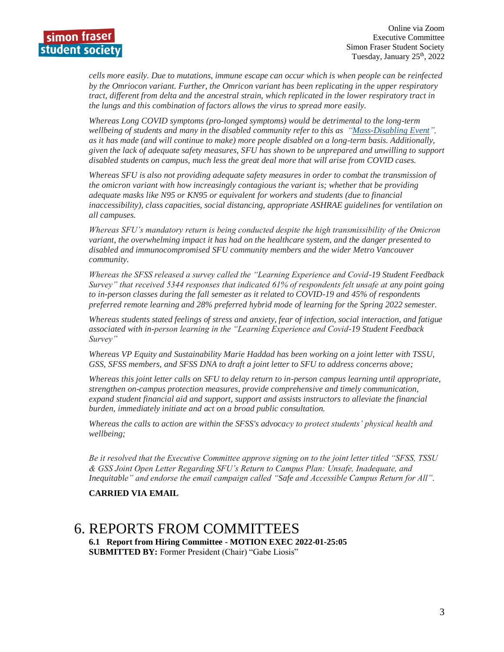*cells more easily. Due to mutations, immune escape can occur which is when people can be reinfected by the Omriocon variant. Further, the Omricon variant has been replicating in the upper respiratory tract, different from delta and the ancestral strain, which replicated in the lower respiratory tract in the lungs and this combination of factors allows the virus to spread more easily.*

*Whereas Long COVID symptoms (pro-longed symptoms) would be detrimental to the long-term wellbeing of students and many in the disabled community refer to this as ["Mass-Disabling Event"](https://www.thestar.com/news/gta/2022/01/10/canadians-with-disabilities-fell-through-the-cracks-in-the-pandemic-response-heres-what-needs-to-change-as-omicron-surges.html), as it has made (and will continue to make) more people disabled on a long-term basis. Additionally, given the lack of adequate safety measures, SFU has shown to be unprepared and unwilling to support disabled students on campus, much less the great deal more that will arise from COVID cases.*

*Whereas SFU is also not providing adequate safety measures in order to combat the transmission of the omicron variant with how increasingly contagious the variant is; whether that be providing adequate masks like N95 or KN95 or equivalent for workers and students (due to financial inaccessibility), class capacities, social distancing, appropriate ASHRAE guidelines for ventilation on all campuses.*

*Whereas SFU's mandatory return is being conducted despite the high transmissibility of the Omicron variant, the overwhelming impact it has had on the healthcare system, and the danger presented to disabled and immunocompromised SFU community members and the wider Metro Vancouver community.*

*Whereas the SFSS released a survey called the "Learning Experience and Covid-19 Student Feedback Survey" that received 5344 responses that indicated 61% of respondents felt unsafe at any point going to in-person classes during the fall semester as it related to COVID-19 and 45% of respondents preferred remote learning and 28% preferred hybrid mode of learning for the Spring 2022 semester.*

*Whereas students stated feelings of stress and anxiety, fear of infection, social interaction, and fatigue associated with in-person learning in the "Learning Experience and Covid-19 Student Feedback Survey"*

*Whereas VP Equity and Sustainability Marie Haddad has been working on a joint letter with TSSU, GSS, SFSS members, and SFSS DNA to draft a joint letter to SFU to address concerns above;*

*Whereas this joint letter calls on SFU to delay return to in-person campus learning until appropriate, strengthen on-campus protection measures, provide comprehensive and timely communication, expand student financial aid and support, support and assists instructors to alleviate the financial burden, immediately initiate and act on a broad public consultation.*

*Whereas the calls to action are within the SFSS's advocacy to protect students' physical health and wellbeing;*

*Be it resolved that the Executive Committee approve signing on to the joint letter titled "SFSS, TSSU & GSS Joint Open Letter Regarding SFU's Return to Campus Plan: Unsafe, Inadequate, and Inequitable" and endorse the email campaign called "Safe and Accessible Campus Return for All".*

#### **CARRIED VIA EMAIL**

## 6. REPORTS FROM COMMITTEES

**6.1 Report from Hiring Committee - MOTION EXEC 2022-01-25:05 SUBMITTED BY:** Former President (Chair) "Gabe Liosis"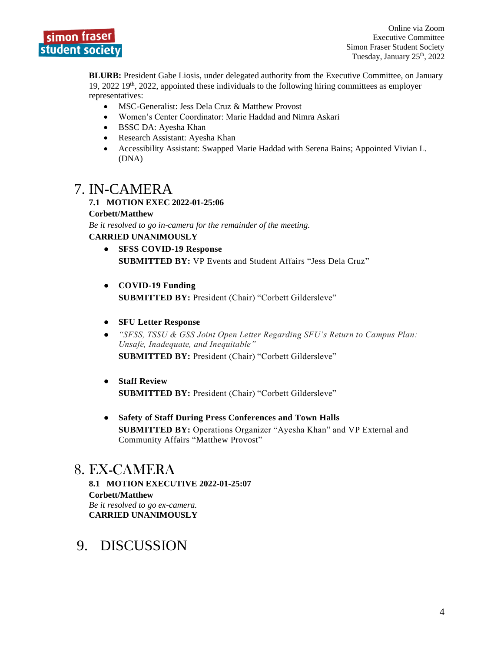

**BLURB:** President Gabe Liosis, under delegated authority from the Executive Committee, on January 19, 2022 19th, 2022, appointed these individuals to the following hiring committees as employer representatives:

- MSC-Generalist: Jess Dela Cruz & Matthew Provost
- Women's Center Coordinator: Marie Haddad and Nimra Askari
- BSSC DA: Ayesha Khan
- Research Assistant: Ayesha Khan
- Accessibility Assistant: Swapped Marie Haddad with Serena Bains; Appointed Vivian L. (DNA)

## 7. IN-CAMERA

#### **7.1 MOTION EXEC 2022-01-25:06**

**Corbett/Matthew**

*Be it resolved to go in-camera for the remainder of the meeting.* **CARRIED UNANIMOUSLY**

- **SFSS COVID-19 Response SUBMITTED BY:** VP Events and Student Affairs "Jess Dela Cruz"
- **COVID-19 Funding SUBMITTED BY:** President (Chair) "Corbett Gildersleve"
- **SFU Letter Response**
- *"SFSS, TSSU & GSS Joint Open Letter Regarding SFU's Return to Campus Plan: Unsafe, Inadequate, and Inequitable"* **SUBMITTED BY:** President (Chair) "Corbett Gildersleve"
- **Staff Review SUBMITTED BY:** President (Chair) "Corbett Gildersleve"
- **Safety of Staff During Press Conferences and Town Halls SUBMITTED BY:** Operations Organizer "Ayesha Khan" and VP External and Community Affairs "Matthew Provost"

## 8. EX-CAMERA

**8.1 MOTION EXECUTIVE 2022-01-25:07 Corbett/Matthew** *Be it resolved to go ex-camera.*  **CARRIED UNANIMOUSLY**

# 9. DISCUSSION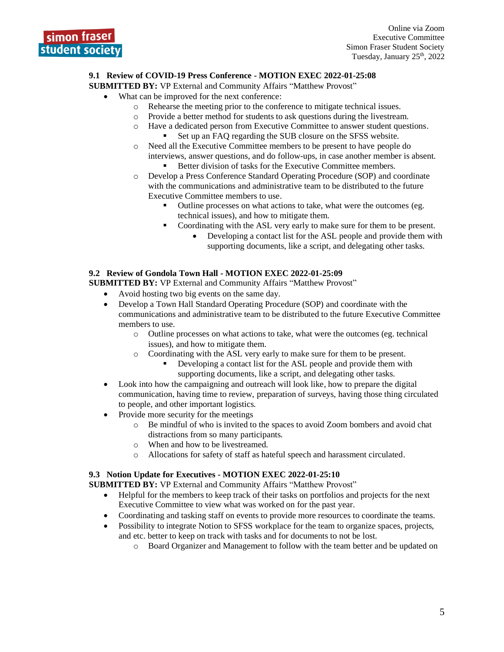#### **9.1 Review of COVID-19 Press Conference - MOTION EXEC 2022-01-25:08**

**SUBMITTED BY:** VP External and Community Affairs "Matthew Provost"

- What can be improved for the next conference:
	- o Rehearse the meeting prior to the conference to mitigate technical issues.
	- o Provide a better method for students to ask questions during the livestream.
	- o Have a dedicated person from Executive Committee to answer student questions. Set up an FAQ regarding the SUB closure on the SFSS website.
	- o Need all the Executive Committee members to be present to have people do interviews, answer questions, and do follow-ups, in case another member is absent.
		- Better division of tasks for the Executive Committee members.
	- o Develop a Press Conference Standard Operating Procedure (SOP) and coordinate with the communications and administrative team to be distributed to the future Executive Committee members to use.
		- Outline processes on what actions to take, what were the outcomes (eg. technical issues), and how to mitigate them.
		- Coordinating with the ASL very early to make sure for them to be present.
			- Developing a contact list for the ASL people and provide them with supporting documents, like a script, and delegating other tasks.

#### **9.2 Review of Gondola Town Hall - MOTION EXEC 2022-01-25:09**

- **SUBMITTED BY:** VP External and Community Affairs "Matthew Provost"
	- Avoid hosting two big events on the same day.
	- Develop a Town Hall Standard Operating Procedure (SOP) and coordinate with the communications and administrative team to be distributed to the future Executive Committee members to use.
		- o Outline processes on what actions to take, what were the outcomes (eg. technical issues), and how to mitigate them.
		- Coordinating with the ASL very early to make sure for them to be present.
			- Developing a contact list for the ASL people and provide them with supporting documents, like a script, and delegating other tasks.
	- Look into how the campaigning and outreach will look like, how to prepare the digital communication, having time to review, preparation of surveys, having those thing circulated to people, and other important logistics.
	- Provide more security for the meetings
		- o Be mindful of who is invited to the spaces to avoid Zoom bombers and avoid chat distractions from so many participants.
		- o When and how to be livestreamed.
		- o Allocations for safety of staff as hateful speech and harassment circulated.

#### **9.3 Notion Update for Executives - MOTION EXEC 2022-01-25:10**

**SUBMITTED BY: VP External and Community Affairs "Matthew Provost"** 

- Helpful for the members to keep track of their tasks on portfolios and projects for the next Executive Committee to view what was worked on for the past year.
- Coordinating and tasking staff on events to provide more resources to coordinate the teams.
- Possibility to integrate Notion to SFSS workplace for the team to organize spaces, projects, and etc. better to keep on track with tasks and for documents to not be lost.
	- o Board Organizer and Management to follow with the team better and be updated on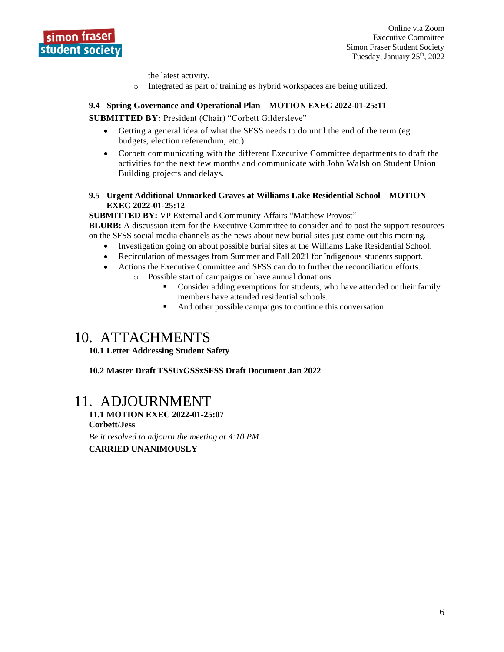

the latest activity.

o Integrated as part of training as hybrid workspaces are being utilized.

#### **9.4 Spring Governance and Operational Plan – MOTION EXEC 2022-01-25:11**

**SUBMITTED BY:** President (Chair) "Corbett Gildersleve"

- Getting a general idea of what the SFSS needs to do until the end of the term (eg. budgets, election referendum, etc.)
- Corbett communicating with the different Executive Committee departments to draft the activities for the next few months and communicate with John Walsh on Student Union Building projects and delays.

#### **9.5 Urgent Additional Unmarked Graves at Williams Lake Residential School – MOTION EXEC 2022-01-25:12**

**SUBMITTED BY: VP External and Community Affairs "Matthew Provost"** 

**BLURB:** A discussion item for the Executive Committee to consider and to post the support resources on the SFSS social media channels as the news about new burial sites just came out this morning.

- Investigation going on about possible burial sites at the Williams Lake Residential School.
- Recirculation of messages from Summer and Fall 2021 for Indigenous students support.
- Actions the Executive Committee and SFSS can do to further the reconciliation efforts.
	- o Possible start of campaigns or have annual donations.
		- Consider adding exemptions for students, who have attended or their family members have attended residential schools.
		- And other possible campaigns to continue this conversation.

# 10. ATTACHMENTS

**10.1 Letter Addressing Student Safety**

**10.2 Master Draft TSSUxGSSxSFSS Draft Document Jan 2022**

## 11. ADJOURNMENT

**11.1 MOTION EXEC 2022-01-25:07 Corbett/Jess** *Be it resolved to adjourn the meeting at 4:10 PM* **CARRIED UNANIMOUSLY**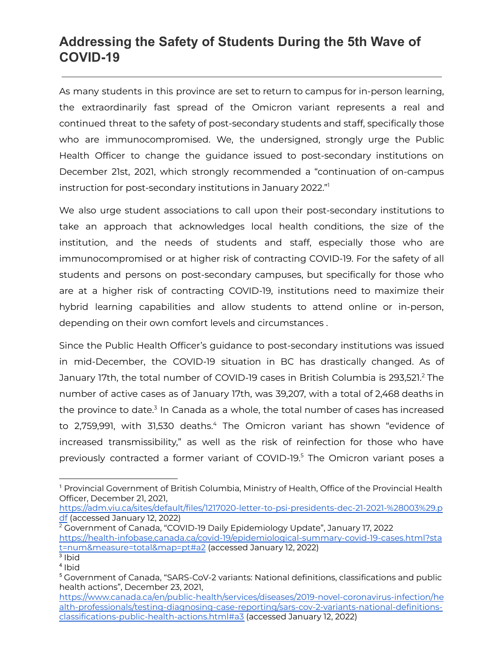# **Addressing the Safety of Students During the 5th Wave of COVID-19**

As many students in this province are set to return to campus for in-person learning, the extraordinarily fast spread of the Omicron variant represents a real and continued threat to the safety of post-secondary students and staff, specifically those who are immunocompromised. We, the undersigned, strongly urge the Public Health Officer to change the guidance issued to post-secondary institutions on December 21st, 2021, which strongly recommended a "continuation of on-campus instruction for post-secondary institutions in January 2022." 1

We also urge student associations to call upon their post-secondary institutions to take an approach that acknowledges local health conditions, the size of the institution, and the needs of students and staff, especially those who are immunocompromised or at higher risk of contracting COVID-19. For the safety of all students and persons on post-secondary campuses, but specifically for those who are at a higher risk of contracting COVID-19, institutions need to maximize their hybrid learning capabilities and allow students to attend online or in-person, depending on their own comfort levels and circumstances .

Since the Public Health Officer's guidance to post-secondary institutions was issued in mid-December, the COVID-19 situation in BC has drastically changed. As of January 17th, the total number of COVID-19 cases in British Columbia is 293,521.<sup>2</sup> The number of active cases as of January 17th, was 39,207, with a total of 2,468 deaths in the province to date. $3$  In Canada as a whole, the total number of cases has increased to 2,759,991, with 31,530 deaths. $4$  The Omicron variant has shown "evidence of increased transmissibility," as well as the risk of reinfection for those who have previously contracted a former variant of COVID-19.<sup>5</sup> The Omicron variant poses a

[https://adm.viu.ca/sites/default/files/1217020-letter-to-psi-presidents-dec-21-2021-%28003%29.p](https://adm.viu.ca/sites/default/files/1217020-letter-to-psi-presidents-dec-21-2021-%28003%29.pdf) [df](https://adm.viu.ca/sites/default/files/1217020-letter-to-psi-presidents-dec-21-2021-%28003%29.pdf) (accessed January 12, 2022)

 $2\overline{C}$  Government of Canada, "COVID-19 Daily Epidemiology Update", January 17, 2022 [https://health-infobase.canada.ca/covid-19/epidemiological-summary-covid-19-cases.html?sta](https://health-infobase.canada.ca/covid-19/epidemiological-summary-covid-19-cases.html?stat=num&measure=total&map=pt#a2) [t=num&measure=total&map=pt#a2](https://health-infobase.canada.ca/covid-19/epidemiological-summary-covid-19-cases.html?stat=num&measure=total&map=pt#a2) (accessed January 12, 2022)

<sup>&</sup>lt;sup>1</sup> Provincial Government of British Columbia, Ministry of Health, Office of the Provincial Health Officer, December 21, 2021,

<sup>3</sup> Ibid

<sup>4</sup> Ibid

<sup>5</sup> Government of Canada, "SARS-CoV-2 variants: National definitions, classifications and public health actions", December 23, 2021,

[https://www.canada.ca/en/public-health/services/diseases/2019-novel-coronavirus-infection/he](https://www.canada.ca/en/public-health/services/diseases/2019-novel-coronavirus-infection/health-professionals/testing-diagnosing-case-reporting/sars-cov-2-variants-national-definitions-classifications-public-health-actions.html#a3) [alth-professionals/testing-diagnosing-case-reporting/sars-cov-2-variants-national-definitions](https://www.canada.ca/en/public-health/services/diseases/2019-novel-coronavirus-infection/health-professionals/testing-diagnosing-case-reporting/sars-cov-2-variants-national-definitions-classifications-public-health-actions.html#a3)[classifications-public-health-actions.html#a3](https://www.canada.ca/en/public-health/services/diseases/2019-novel-coronavirus-infection/health-professionals/testing-diagnosing-case-reporting/sars-cov-2-variants-national-definitions-classifications-public-health-actions.html#a3) (accessed January 12, 2022)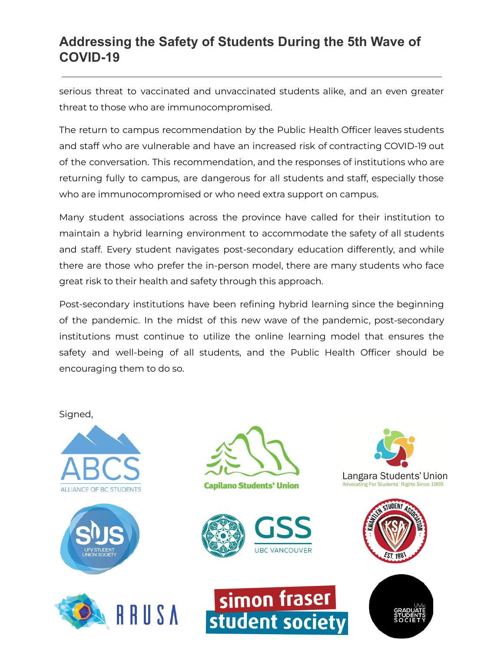# **Addressing the Safety of Students During the 5th Wave of COVID-19**

serious threat to vaccinated and unvaccinated students alike, and an even greater threat to those who are immunocompromised.

The return to campus recommendation by the Public Health Officer leaves students and staff who are vulnerable and have an increased risk of contracting COVID-19 out of the conversation. This recommendation, and the responses of institutions who are returning fully to campus, are dangerous for all students and staff, especially those who are immunocompromised or who need extra support on campus.

Many student associations across the province have called for their institution to maintain a hybrid learning environment to accommodate the safety of all students and staff. Every student navigates post-secondary education differently, and while there are those who prefer the in-person model, there are many students who face great risk to their health and safety through this approach.

Post-secondary institutions have been refining hybrid learning since the beginning of the pandemic. In the midst of this new wave of the pandemic, post-secondary institutions must continue to utilize the online learning model that ensures the safety and well-being of all students, and the Public Health Officer should be encouraging them to do so.

Signed,









**Capilano Students' Union** 









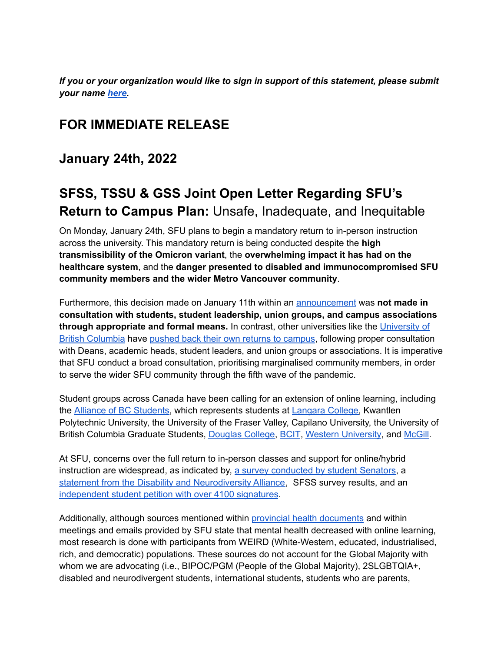*If you or your organization would like to sign in support of this statement, please submit your name [here.](https://forms.gle/VpJNHvduAwf6fDhK7)*

# **FOR IMMEDIATE RELEASE**

**January 24th, 2022**

# **SFSS, TSSU & GSS Joint Open Letter Regarding SFU's Return to Campus Plan:** Unsafe, Inadequate, and Inequitable

On Monday, January 24th, SFU plans to begin a mandatory return to in-person instruction across the university. This mandatory return is being conducted despite the **high transmissibility of the Omicron variant**, the **overwhelming impact it has had on the healthcare system**, and the **danger presented to disabled and immunocompromised SFU community members and the wider Metro Vancouver community**.

Furthermore, this decision made on January 11th within an [announcement](http://www.sfu.ca/dashboard/faculty-staff/faculty-and-staff-communications-archive/faculty---staff-email-archive/2022/spring-2022/from-catherine-dauvergne-sfu-returns-to-in-person-learning-teaching.html) was **not made in consultation with students, student leadership, union groups, and campus associations through appropriate and formal means.** In contrast, other universities like the [University](https://broadcastemail.ubc.ca/2022/01/12/covid-19-update-on-winter-session-term-2/) of British [Columbia](https://broadcastemail.ubc.ca/2022/01/12/covid-19-update-on-winter-session-term-2/) have pushed back their own returns to [campus,](https://www.theglobeandmail.com/canada/article-universities-to-stick-to-online-classes-for-now-to-slow-spread-of/) following proper consultation with Deans, academic heads, student leaders, and union groups or associations. It is imperative that SFU conduct a broad consultation, prioritising marginalised community members, in order to serve the wider SFU community through the fifth wave of the pandemic.

Student groups across Canada have been calling for an extension of online learning, including the Alliance of BC [Students,](https://bcstudents.ca/news/2021/12/28/students-call-on-public-health-officer-to-change-guidance-to-post-secondary-institutions) which represents students at [Langara](https://dailyhive.com/vancouver/langara-petition-in-person-learning) College, Kwantlen Polytechnic University, the University of the Fraser Valley, Capilano University, the University of British Columbia Graduate Students, [Douglas](https://dailyhive.com/vancouver/douglas-college-student-petition-delayed-return) College, [BCIT](https://globalnews.ca/news/8499330/bcit-covid-petition/), Western [University](https://www.cbc.ca/news/canada/london/western-university-students-push-back-asking-for-hybrid-model-instead-of-in-person-classes-1.6318450), and [McGill](https://www.cbc.ca/news/canada/montreal/mcgill-social-work-1.6320311).

At SFU, concerns over the full return to in-person classes and support for online/hybrid instruction are widespread, as indicated by, a survey [conducted](https://drive.google.com/drive/folders/1ABfL1Bb9TiId2UsXnBLs2hUhBkNJzb_w) by student Senators, a statement from the Disability and [Neurodiversity](https://bit.ly/3A9H7Bx) Alliance, SFSS survey results, and an [independent](https://www.change.org/p/simon-fraser-university-continue-remote-classes-at-sfu-in-spring-2022) student petition with over 4100 signatures.

Additionally, although sources mentioned within provincial health [documents](https://drive.google.com/file/d/1syQPvTHRSshRezKpu7SIhLQZMyJFPtS1/view?usp=sharing) and within meetings and emails provided by SFU state that mental health decreased with online learning, most research is done with participants from WEIRD (White-Western, educated, industrialised, rich, and democratic) populations. These sources do not account for the Global Majority with whom we are advocating (i.e., BIPOC/PGM (People of the Global Majority), 2SLGBTQIA+, disabled and neurodivergent students, international students, students who are parents,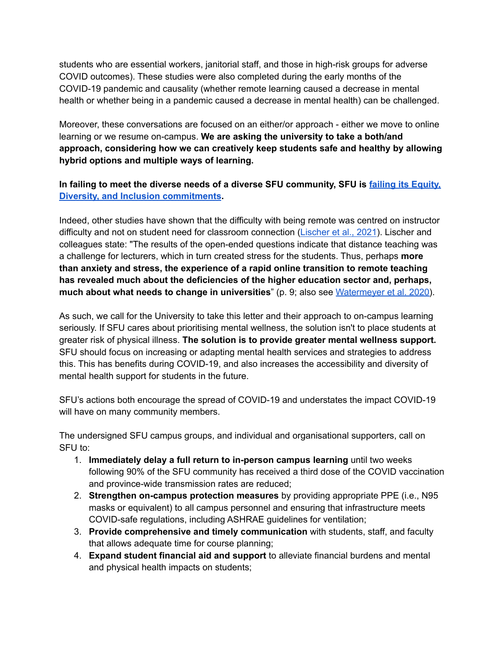students who are essential workers, janitorial staff, and those in high-risk groups for adverse COVID outcomes). These studies were also completed during the early months of the COVID-19 pandemic and causality (whether remote learning caused a decrease in mental health or whether being in a pandemic caused a decrease in mental health) can be challenged.

Moreover, these conversations are focused on an either/or approach - either we move to online learning or we resume on-campus. **We are asking the university to take a both/and approach, considering how we can creatively keep students safe and healthy by allowing hybrid options and multiple ways of learning.**

#### **In failing to meet the diverse needs of a diverse SFU community, SFU is failing its [Equity,](https://www.sfu.ca/edi/reports.html) Diversity, and Inclusion [commitments](https://www.sfu.ca/edi/reports.html).**

Indeed, other studies have shown that the difficulty with being remote was centred on instructor difficulty and not on student need for classroom connection [\(Lischer](https://link.springer.com/content/pdf/10.1007/s11125-020-09530-w.pdf) et al., 2021). Lischer and colleagues state: "The results of the open-ended questions indicate that distance teaching was a challenge for lecturers, which in turn created stress for the students. Thus, perhaps **more than anxiety and stress, the experience of a rapid online transition to remote teaching has revealed much about the deficiencies of the higher education sector and, perhaps, much about what needs to change in universities**" (p. 9; also see [Watermeyer](https://link.springer.com/article/10.1007%2Fs10734-020-00561-y) et al. 2020).

As such, we call for the University to take this letter and their approach to on-campus learning seriously. If SFU cares about prioritising mental wellness, the solution isn't to place students at greater risk of physical illness. **The solution is to provide greater mental wellness support.** SFU should focus on increasing or adapting mental health services and strategies to address this. This has benefits during COVID-19, and also increases the accessibility and diversity of mental health support for students in the future.

SFU's actions both encourage the spread of COVID-19 and understates the impact COVID-19 will have on many community members.

The undersigned SFU campus groups, and individual and organisational supporters, call on SFU to:

- 1. **Immediately delay a full return to in-person campus learning** until two weeks following 90% of the SFU community has received a third dose of the COVID vaccination and province-wide transmission rates are reduced;
- 2. **Strengthen on-campus protection measures** by providing appropriate PPE (i.e., N95 masks or equivalent) to all campus personnel and ensuring that infrastructure meets COVID-safe regulations, including ASHRAE guidelines for ventilation;
- 3. **Provide comprehensive and timely communication** with students, staff, and faculty that allows adequate time for course planning;
- 4. **Expand student financial aid and support** to alleviate financial burdens and mental and physical health impacts on students;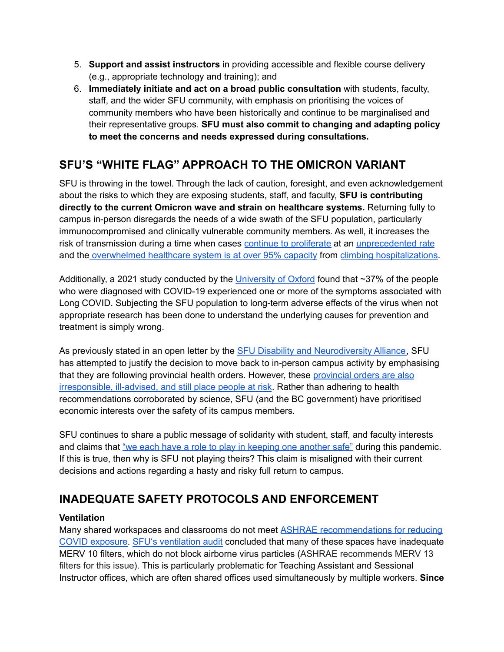- 5. **Support and assist instructors** in providing accessible and flexible course delivery (e.g., appropriate technology and training); and
- 6. **Immediately initiate and act on a broad public consultation** with students, faculty, staff, and the wider SFU community, with emphasis on prioritising the voices of community members who have been historically and continue to be marginalised and their representative groups. **SFU must also commit to changing and adapting policy to meet the concerns and needs expressed during consultations.**

# **SFU'S "WHITE FLAG" APPROACH TO THE OMICRON VARIANT**

SFU is throwing in the towel. Through the lack of caution, foresight, and even acknowledgement about the risks to which they are exposing students, staff, and faculty, **SFU is contributing directly to the current Omicron wave and strain on healthcare systems.** Returning fully to campus in-person disregards the needs of a wide swath of the SFU population, particularly immunocompromised and clinically vulnerable community members. As well, it increases the risk of transmission during a time when cases continue to [proliferate](https://www.cbc.ca/news/canada/british-columbia/covid-19-british-columbia-charts-1.5510000) at an [unprecedented](https://bccovid-19group.ca/post/2022-01-06-report/) rate and the [overwhelmed](https://www.cbc.ca/news/canada/british-columbia/bc-covid19-hospitalizations-jan-19-1.6320559) healthcare system is at over 95% capacity from climbing [hospitalizations](https://globalnews.ca/news/8491652/omicron-patients-bc-hospitals-modelling/).

Additionally, a 2021 study conducted by the [University](https://www.ox.ac.uk/news/2021-09-29-over-third-covid-19-patients-diagnosed-least-one-long-covid-symptom) of Oxford found that ~37% of the people who were diagnosed with COVID-19 experienced one or more of the symptoms associated with Long COVID. Subjecting the SFU population to long-term adverse effects of the virus when not appropriate research has been done to understand the underlying causes for prevention and treatment is simply wrong.

As previously stated in an open letter by the SFU Disability and [Neurodiversity](https://drive.google.com/drive/folders/1bCLYkrUxJjO0neG9UJOYIbpGBWJ06E70) Alliance, SFU has attempted to justify the decision to move back to in-person campus activity by emphasising that they are following [provincial](https://thetyee.ca/News/2022/01/07/BC-Schools-Reopen-Monday-Parents-Experts-Worried/) health orders. However, these provincial orders are also [irresponsible,](https://thetyee.ca/News/2022/01/07/BC-Schools-Reopen-Monday-Parents-Experts-Worried/) ill-advised, and still place people at risk. Rather than adhering to health recommendations corroborated by science, SFU (and the BC government) have prioritised economic interests over the safety of its campus members.

SFU continues to share a public message of solidarity with student, staff, and faculty interests and claims that "we each have a role to play in [keeping](http://www.sfu.ca/dashboard/faculty-staff/faculty-and-staff-communications-archive/faculty---staff-email-archive/2022/spring-2022/from-catherine-dauvergne-sfu-returns-to-in-person-learning-teaching.html) one another safe" during this pandemic. If this is true, then why is SFU not playing theirs? This claim is misaligned with their current decisions and actions regarding a hasty and risky full return to campus.

# **INADEQUATE SAFETY PROTOCOLS AND ENFORCEMENT**

### **Ventilation**

Many shared workspaces and classrooms do not meet ASHRAE [recommendations](https://www.ashrae.org/file%20library/technical%20resources/covid-19/core-recommendations-for-reducing-airborne-infectious-aerosol-exposure.pdf) for reducing COVID [exposure](https://www.ashrae.org/file%20library/technical%20resources/covid-19/core-recommendations-for-reducing-airborne-infectious-aerosol-exposure.pdf). SFU's [ventilation](https://www.sfu.ca/srs/work-research-safety/general-safety/indoor-air-quality/air-quality/COVID-19.html) audit concluded that many of these spaces have inadequate MERV 10 filters, which do not block airborne virus particles (ASHRAE recommends MERV 13 filters for this issue). This is particularly problematic for Teaching Assistant and Sessional Instructor offices, which are often shared offices used simultaneously by multiple workers. **Since**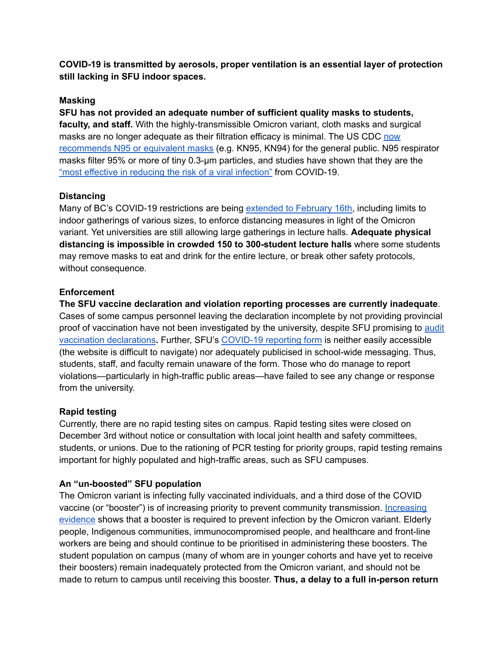**COVID-19 is transmitted by aerosols, proper ventilation is an essential layer of protection still lacking in SFU indoor spaces.**

#### **Masking**

**SFU has not provided an adequate number of sufficient quality masks to students, faculty, and staff.** With the highly-transmissible Omicron variant, cloth masks and surgical masks are no longer adequate as their filtration efficacy is minimal. The US CDC [now](https://www.cdc.gov/coronavirus/2019-ncov/prevent-getting-sick/types-of-masks.html) [recommends](https://www.cdc.gov/coronavirus/2019-ncov/prevent-getting-sick/types-of-masks.html) N95 or equivalent masks (e.g. KN95, KN94) for the general public. N95 respirator masks filter 95% or more of tiny 0.3-μm particles, and studies have shown that they are the "most effective in reducing the risk of a viral [infection"](https://doi.org/10.1002/emp2.12582) from COVID-19.

#### **Distancing**

Many of BC's COVID-19 restrictions are being [extended](https://bc.ctvnews.ca/covid-19-restrictions-b-c-gyms-reopening-this-week-other-measures-extended-1.5744314) to February 16th, including limits to indoor gatherings of various sizes, to enforce distancing measures in light of the Omicron variant. Yet universities are still allowing large gatherings in lecture halls. **Adequate physical distancing is impossible in crowded 150 to 300-student lecture halls** where some students may remove masks to eat and drink for the entire lecture, or break other safety protocols, without consequence.

#### **Enforcement**

**The SFU vaccine declaration and violation reporting processes are currently inadequate**. Cases of some campus personnel leaving the declaration incomplete by not providing provincial proof of vaccination have not been investigated by the university, despite SFU promising to [audit](https://www.sfu.ca/students/support/updates/faculty-staff-requirement.html) vaccination [declarations](https://www.sfu.ca/students/support/updates/faculty-staff-requirement.html)**.** Further, SFU's [COVID-19](https://www.sfu.ca/srs/work-research-safety/general-safety/covid19-resources/covid-19-safety-compliancy-contact-form-.html) reporting form is neither easily accessible (the website is difficult to navigate) nor adequately publicised in school-wide messaging. Thus, students, staff, and faculty remain unaware of the form. Those who do manage to report violations—particularly in high-traffic public areas—have failed to see any change or response from the university.

#### **Rapid testing**

Currently, there are no rapid testing sites on campus. Rapid testing sites were closed on December 3rd without notice or consultation with local joint health and safety committees, students, or unions. Due to the rationing of PCR testing for priority groups, rapid testing remains important for highly populated and high-traffic areas, such as SFU campuses.

#### **An "un-boosted" SFU population**

The Omicron variant is infecting fully vaccinated individuals, and a third dose of the COVID vaccine (or "booster") is of increasing priority to prevent community transmission. [Increasing](https://www.thelancet.com/journals/lanres/article/PIIS2213-2600(21)00559-2/fulltext?s=09) [evidence](https://www.thelancet.com/journals/lanres/article/PIIS2213-2600(21)00559-2/fulltext?s=09) shows that a booster is required to prevent infection by the Omicron variant. Elderly people, Indigenous communities, immunocompromised people, and healthcare and front-line workers are being and should continue to be prioritised in administering these boosters. The student population on campus (many of whom are in younger cohorts and have yet to receive their boosters) remain inadequately protected from the Omicron variant, and should not be made to return to campus until receiving this booster. **Thus, a delay to a full in-person return**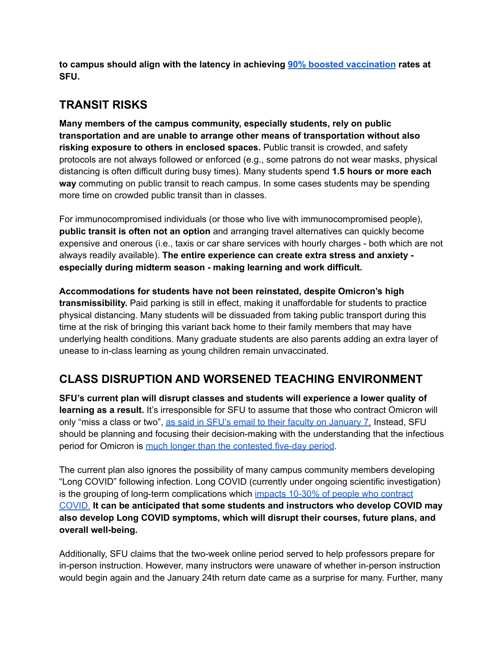**to campus should align with the latency in achieving 90% boosted [vaccination](https://www.cmaj.ca/content/193/28/E1089.short) rates at SFU.**

# **TRANSIT RISKS**

**Many members of the campus community, especially students, rely on public transportation and are unable to arrange other means of transportation without also risking exposure to others in enclosed spaces.** Public transit is crowded, and safety protocols are not always followed or enforced (e.g., some patrons do not wear masks, physical distancing is often difficult during busy times). Many students spend **1.5 hours or more each way** commuting on public transit to reach campus. In some cases students may be spending more time on crowded public transit than in classes.

For immunocompromised individuals (or those who live with immunocompromised people), **public transit is often not an option** and arranging travel alternatives can quickly become expensive and onerous (i.e., taxis or car share services with hourly charges - both which are not always readily available). **The entire experience can create extra stress and anxiety especially during midterm season - making learning and work difficult.**

**Accommodations for students have not been reinstated, despite Omicron's high transmissibility.** Paid parking is still in effect, making it unaffordable for students to practice physical distancing. Many students will be dissuaded from taking public transport during this time at the risk of bringing this variant back home to their family members that may have underlying health conditions. Many graduate students are also parents adding an extra layer of unease to in-class learning as young children remain unvaccinated.

# **CLASS DISRUPTION AND WORSENED TEACHING ENVIRONMENT**

**SFU's current plan will disrupt classes and students will experience a lower quality of learning as a result.** It's irresponsible for SFU to assume that those who contract Omicron will only "miss a class or two", as said in SFU's email to their faculty on [January](http://www.sfu.ca/dashboard/faculty-staff/faculty-and-staff-communications-archive/faculty---staff-email-archive/2022/spring-2022/from-catherine-dauvergne---planning-for-learning-continuity-in-t.html) 7. Instead, SFU should be planning and focusing their decision-making with the understanding that the infectious period for Omicron is much longer than the [contested](https://www.independent.co.uk/news/health/incubation-period-for-omicron-covid-uk-b1996220.html) five-day period.

The current plan also ignores the possibility of many campus community members developing "Long COVID" following infection. Long COVID (currently under ongoing scientific investigation) is the grouping of long-term complications which impacts 10-30% of people who [contract](https://montreal.ctvnews.ca/omicron-isn-t-a-regular-cold-quebec-doctor-says-urging-people-to-avoid-infection-and-risk-of-long-covid-1.5732653) [COVID.](https://montreal.ctvnews.ca/omicron-isn-t-a-regular-cold-quebec-doctor-says-urging-people-to-avoid-infection-and-risk-of-long-covid-1.5732653) **It can be anticipated that some students and instructors who develop COVID may also develop Long COVID symptoms, which will disrupt their courses, future plans, and overall well-being.**

Additionally, SFU claims that the two-week online period served to help professors prepare for in-person instruction. However, many instructors were unaware of whether in-person instruction would begin again and the January 24th return date came as a surprise for many. Further, many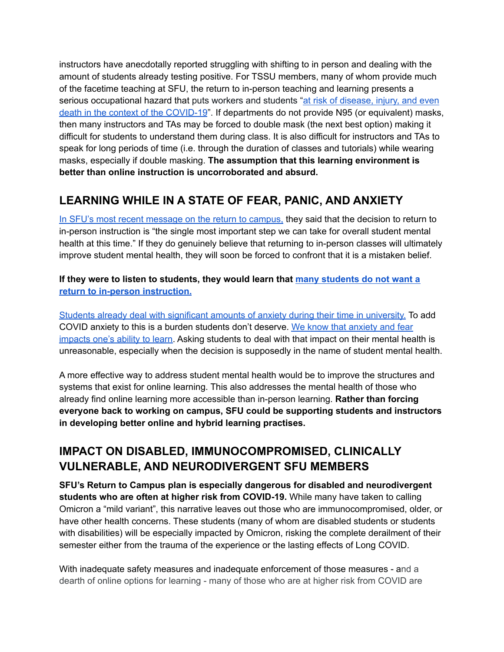instructors have anecdotally reported struggling with shifting to in person and dealing with the amount of students already testing positive. For TSSU members, many of whom provide much of the facetime teaching at SFU, the return to in-person teaching and learning presents a serious occupational hazard that puts workers and students "at risk of [disease,](https://www.who.int/publications/i/item/WHO-2019-nCoV-HCW_advice-2021-1) injury, and even death in the context of the [COVID-19](https://www.who.int/publications/i/item/WHO-2019-nCoV-HCW_advice-2021-1)". If departments do not provide N95 (or equivalent) masks, then many instructors and TAs may be forced to double mask (the next best option) making it difficult for students to understand them during class. It is also difficult for instructors and TAs to speak for long periods of time (i.e. through the duration of classes and tutorials) while wearing masks, especially if double masking. **The assumption that this learning environment is better than online instruction is uncorroborated and absurd.**

# **LEARNING WHILE IN A STATE OF FEAR, PANIC, AND ANXIETY**

In SFU's most recent [message](http://www.sfu.ca/dashboard/faculty-staff/faculty-and-staff-communications-archive/faculty---staff-email-archive/2022/spring-2022/from-catherine-dauvergne-sfu-returns-to-in-person-learning-teaching.html) on the return to campus, they said that the decision to return to in-person instruction is "the single most important step we can take for overall student mental health at this time." If they do genuinely believe that returning to in-person classes will ultimately improve student mental health, they will soon be forced to confront that it is a mistaken belief.

**If they were to listen to students, they would learn that many [students](https://drive.google.com/drive/folders/1ABfL1Bb9TiId2UsXnBLs2hUhBkNJzb_w) do not want a return to in-person [instruction.](https://drive.google.com/drive/folders/1ABfL1Bb9TiId2UsXnBLs2hUhBkNJzb_w)**

Students already deal with [significant](https://www.health.harvard.edu/blog/anxiety-in-college-what-we-know-and-how-to-cope-2019052816729) amounts of anxiety during their time in university. To add COVID anxiety to this is a burden students don't deserve. We know that [anxiety](https://www.theguardian.com/education/2015/nov/21/how-anxiety-scrambles-your-brain-and-makes-it-hard-to-learn) and fear [impacts](https://www.theguardian.com/education/2015/nov/21/how-anxiety-scrambles-your-brain-and-makes-it-hard-to-learn) one's ability to learn. Asking students to deal with that impact on their mental health is unreasonable, especially when the decision is supposedly in the name of student mental health.

A more effective way to address student mental health would be to improve the structures and systems that exist for online learning. This also addresses the mental health of those who already find online learning more accessible than in-person learning. **Rather than forcing everyone back to working on campus, SFU could be supporting students and instructors in developing better online and hybrid learning practises.**

## **IMPACT ON DISABLED, IMMUNOCOMPROMISED, CLINICALLY VULNERABLE, AND NEURODIVERGENT SFU MEMBERS**

**SFU's Return to Campus plan is especially dangerous for disabled and neurodivergent students who are often at higher risk from COVID-19.** While many have taken to calling Omicron a "mild variant", this narrative leaves out those who are immunocompromised, older, or have other health concerns. These students (many of whom are disabled students or students with disabilities) will be especially impacted by Omicron, risking the complete derailment of their semester either from the trauma of the experience or the lasting effects of Long COVID.

With inadequate safety measures and inadequate enforcement of those measures - and a dearth of online options for learning - many of those who are at higher risk from COVID are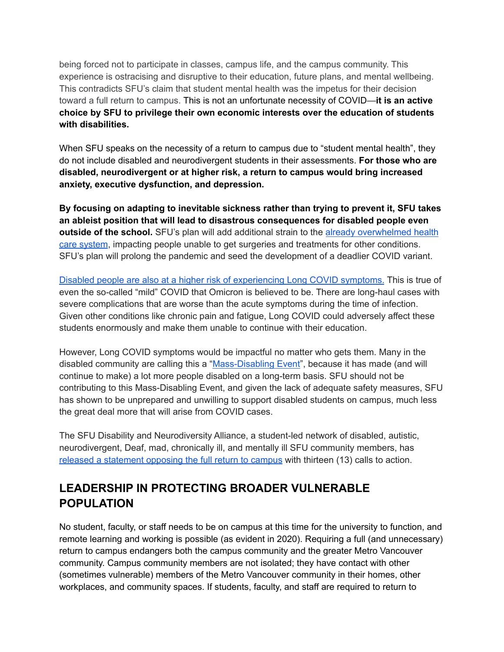being forced not to participate in classes, campus life, and the campus community. This experience is ostracising and disruptive to their education, future plans, and mental wellbeing. This contradicts SFU's claim that student mental health was the impetus for their decision toward a full return to campus. This is not an unfortunate necessity of COVID—**it is an active choice by SFU to privilege their own economic interests over the education of students with disabilities.**

When SFU speaks on the necessity of a return to campus due to "student mental health", they do not include disabled and neurodivergent students in their assessments. **For those who are disabled, neurodivergent or at higher risk, a return to campus would bring increased anxiety, executive dysfunction, and depression.**

**By focusing on adapting to inevitable sickness rather than trying to prevent it, SFU takes an ableist position that will lead to disastrous consequences for disabled people even outside of the school.** SFU's plan will add additional strain to the already [overwhelmed](https://www.thestar.com/news/canada/2022/01/11/bc-hospital-occupancy-continuing-to-rise.html) health care [system](https://www.thestar.com/news/canada/2022/01/11/bc-hospital-occupancy-continuing-to-rise.html), impacting people unable to get surgeries and treatments for other conditions. SFU's plan will prolong the pandemic and seed the development of a deadlier COVID variant.

Disabled people are also at a higher risk of [experiencing](https://www.npr.org/sections/goatsandsoda/2021/11/18/1055071699/coronavirus-faq-what-is-long-covid-and-what-is-my-risk-of-getting-it) Long COVID symptoms. This is true of even the so-called "mild" COVID that Omicron is believed to be. There are long-haul cases with severe complications that are worse than the acute symptoms during the time of infection. Given other conditions like chronic pain and fatigue, Long COVID could adversely affect these students enormously and make them unable to continue with their education.

However, Long COVID symptoms would be impactful no matter who gets them. Many in the disabled community are calling this a ["Mass-Disabling](https://www.thestar.com/news/gta/2022/01/10/canadians-with-disabilities-fell-through-the-cracks-in-the-pandemic-response-heres-what-needs-to-change-as-omicron-surges.html) Event", because it has made (and will continue to make) a lot more people disabled on a long-term basis. SFU should not be contributing to this Mass-Disabling Event, and given the lack of adequate safety measures, SFU has shown to be unprepared and unwilling to support disabled students on campus, much less the great deal more that will arise from COVID cases.

The SFU Disability and Neurodiversity Alliance, a student-led network of disabled, autistic, neurodivergent, Deaf, mad, chronically ill, and mentally ill SFU community members, has released a [statement](https://bit.ly/3A9H7Bx) opposing the full return to campus with thirteen (13) calls to action.

# **LEADERSHIP IN PROTECTING BROADER VULNERABLE POPULATION**

No student, faculty, or staff needs to be on campus at this time for the university to function, and remote learning and working is possible (as evident in 2020). Requiring a full (and unnecessary) return to campus endangers both the campus community and the greater Metro Vancouver community. Campus community members are not isolated; they have contact with other (sometimes vulnerable) members of the Metro Vancouver community in their homes, other workplaces, and community spaces. If students, faculty, and staff are required to return to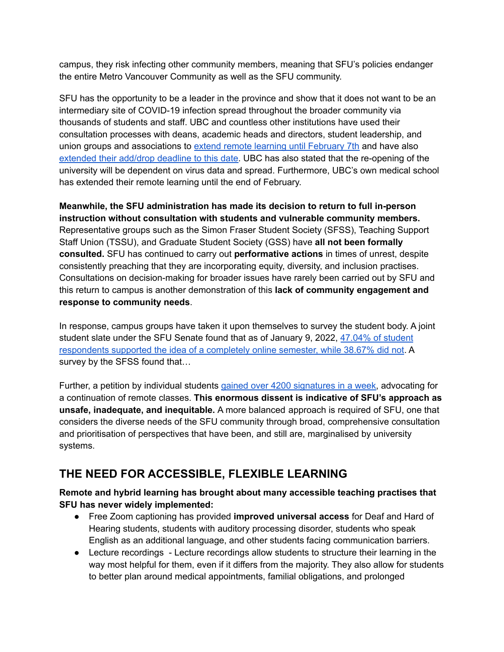campus, they risk infecting other community members, meaning that SFU's policies endanger the entire Metro Vancouver Community as well as the SFU community.

SFU has the opportunity to be a leader in the province and show that it does not want to be an intermediary site of COVID-19 infection spread throughout the broader community via thousands of students and staff. UBC and countless other institutions have used their consultation processes with deans, academic heads and directors, student leadership, and union groups and associations to extend remote learning until [February](https://broadcastemail.ubc.ca/2022/01/12/covid-19-update-on-winter-session-term-2/) 7th and have also [extended](https://www.ubyssey.ca/news/senate-summed-up-jan19/) their add/drop deadline to this date. UBC has also stated that the re-opening of the university will be dependent on virus data and spread. Furthermore, UBC's own medical school has extended their remote learning until the end of February.

**Meanwhile, the SFU administration has made its decision to return to full in-person instruction without consultation with students and vulnerable community members.** Representative groups such as the Simon Fraser Student Society (SFSS), Teaching Support Staff Union (TSSU), and Graduate Student Society (GSS) have **all not been formally consulted.** SFU has continued to carry out **performative actions** in times of unrest, despite consistently preaching that they are incorporating equity, diversity, and inclusion practises. Consultations on decision-making for broader issues have rarely been carried out by SFU and this return to campus is another demonstration of this **lack of community engagement and response to community needs**.

In response, campus groups have taken it upon themselves to survey the student body. A joint student slate under the SFU Senate found that as of January 9, 2022, [47.04%](https://drive.google.com/drive/folders/1ABfL1Bb9TiId2UsXnBLs2hUhBkNJzb_w) of student [respondents](https://drive.google.com/drive/folders/1ABfL1Bb9TiId2UsXnBLs2hUhBkNJzb_w) supported the idea of a completely online semester, while 38.67% did not. A survey by the SFSS found that...

Further, a petition by individual students gained over 4200 [signatures](https://www.change.org/p/simon-fraser-university-continue-remote-classes-at-sfu-in-spring-2022) in a week, advocating for a continuation of remote classes. **This enormous dissent is indicative of SFU's approach as unsafe, inadequate, and inequitable.** A more balanced approach is required of SFU, one that considers the diverse needs of the SFU community through broad, comprehensive consultation and prioritisation of perspectives that have been, and still are, marginalised by university systems.

# **THE NEED FOR ACCESSIBLE, FLEXIBLE LEARNING**

#### **Remote and hybrid learning has brought about many accessible teaching practises that SFU has never widely implemented:**

- Free Zoom captioning has provided **improved universal access** for Deaf and Hard of Hearing students, students with auditory processing disorder, students who speak English as an additional language, and other students facing communication barriers.
- Lecture recordings Lecture recordings allow students to structure their learning in the way most helpful for them, even if it differs from the majority. They also allow for students to better plan around medical appointments, familial obligations, and prolonged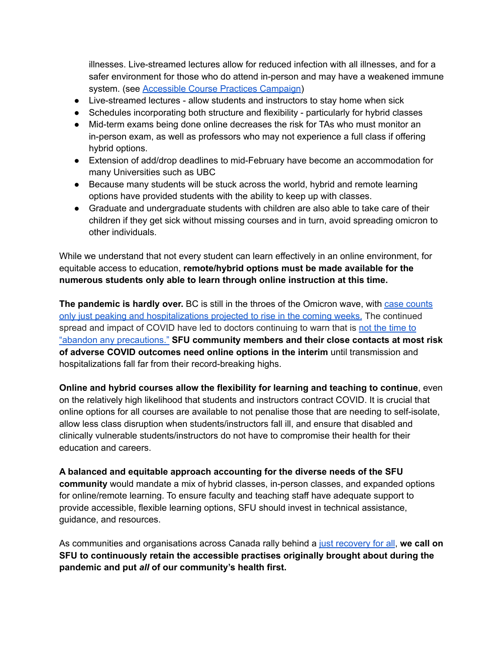illnesses. Live-streamed lectures allow for reduced infection with all illnesses, and for a safer environment for those who do attend in-person and may have a weakened immune system. (see **[Accessible](https://sfss.ca/wp-content/uploads/2021/09/Accessible-Course-Practices-Campaign-letter-.pdf) Course Practices Campaign**)

- Live-streamed lectures allow students and instructors to stay home when sick
- Schedules incorporating both structure and flexibility particularly for hybrid classes
- Mid-term exams being done online decreases the risk for TAs who must monitor an in-person exam, as well as professors who may not experience a full class if offering hybrid options.
- Extension of add/drop deadlines to mid-February have become an accommodation for many Universities such as UBC
- Because many students will be stuck across the world, hybrid and remote learning options have provided students with the ability to keep up with classes.
- Graduate and undergraduate students with children are also able to take care of their children if they get sick without missing courses and in turn, avoid spreading omicron to other individuals.

While we understand that not every student can learn effectively in an online environment, for equitable access to education, **remote/hybrid options must be made available for the numerous students only able to learn through online instruction at this time.**

**The pandemic is hardly over.** BC is still in the throes of the Omicron wave, with case [counts](https://www.cbc.ca/news/canada/british-columbia/bc-covid19-hospitalizations-jan-19-1.6320559) only just peaking and [hospitalizations](https://www.cbc.ca/news/canada/british-columbia/bc-covid19-hospitalizations-jan-19-1.6320559) projected to rise in the coming weeks. The continued spread and impact of COVID have led to doctors continuing to warn that is not the [time](https://bc.ctvnews.ca/we-can-t-abandon-any-precautions-b-c-physician-on-staying-the-course-amid-omicron-wave-1.5745035) to "abandon any [precautions."](https://bc.ctvnews.ca/we-can-t-abandon-any-precautions-b-c-physician-on-staying-the-course-amid-omicron-wave-1.5745035) **SFU community members and their close contacts at most risk of adverse COVID outcomes need online options in the interim** until transmission and hospitalizations fall far from their record-breaking highs.

**Online and hybrid courses allow the flexibility for learning and teaching to continue**, even on the relatively high likelihood that students and instructors contract COVID. It is crucial that online options for all courses are available to not penalise those that are needing to self-isolate, allow less class disruption when students/instructors fall ill, and ensure that disabled and clinically vulnerable students/instructors do not have to compromise their health for their education and careers.

**A balanced and equitable approach accounting for the diverse needs of the SFU community** would mandate a mix of hybrid classes, in-person classes, and expanded options for online/remote learning. To ensure faculty and teaching staff have adequate support to provide accessible, flexible learning options, SFU should invest in technical assistance, guidance, and resources.

As communities and organisations across Canada rally behind a just [recovery](https://justrecoveryforall.ca/) for all, **we call on SFU to continuously retain the accessible practises originally brought about during the pandemic and put** *all* **of our community's health first.**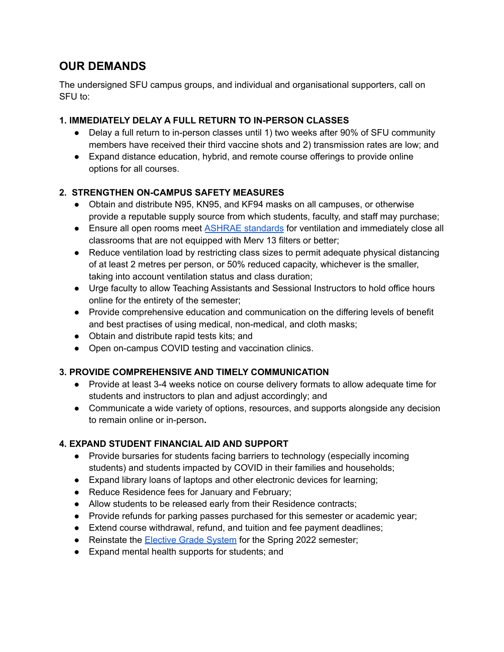## **OUR DEMANDS**

The undersigned SFU campus groups, and individual and organisational supporters, call on SFU to:

#### **1. IMMEDIATELY DELAY A FULL RETURN TO IN-PERSON CLASSES**

- Delay a full return to in-person classes until 1) two weeks after 90% of SFU community members have received their third vaccine shots and 2) transmission rates are low; and
- Expand distance education, hybrid, and remote course offerings to provide online options for all courses.

### **2. STRENGTHEN ON-CAMPUS SAFETY MEASURES**

- Obtain and distribute N95, KN95, and KF94 masks on all campuses, or otherwise provide a reputable supply source from which students, faculty, and staff may purchase;
- Ensure all open rooms meet **ASHRAE [standards](https://www.ashrae.org/file%20library/technical%20resources/covid-19/core-recommendations-for-reducing-airborne-infectious-aerosol-exposure.pdf)** for ventilation and immediately close all classrooms that are not equipped with Merv 13 filters or better;
- Reduce ventilation load by restricting class sizes to permit adequate physical distancing of at least 2 metres per person, or 50% reduced capacity, whichever is the smaller, taking into account ventilation status and class duration;
- Urge faculty to allow Teaching Assistants and Sessional Instructors to hold office hours online for the entirety of the semester;
- Provide comprehensive education and communication on the differing levels of benefit and best practises of using medical, non-medical, and cloth masks;
- Obtain and distribute rapid tests kits; and
- Open on-campus COVID testing and vaccination clinics.

### **3. PROVIDE COMPREHENSIVE AND TIMELY COMMUNICATION**

- **●** Provide at least 3-4 weeks notice on course delivery formats to allow adequate time for students and instructors to plan and adjust accordingly; and
- **●** Communicate a wide variety of options, resources, and supports alongside any decision to remain online or in-person**.**

### **4. EXPAND STUDENT FINANCIAL AID AND SUPPORT**

- Provide bursaries for students facing barriers to technology (especially incoming students) and students impacted by COVID in their families and households;
- Expand library loans of laptops and other electronic devices for learning;
- Reduce Residence fees for January and February;
- Allow students to be released early from their Residence contracts;
- Provide refunds for parking passes purchased for this semester or academic year;
- Extend course withdrawal, refund, and tuition and fee payment deadlines;
- Reinstate the [Elective](https://www.sfu.ca/students/support/academic-policies-and-procedures/elective-grade-sys.html) Grade System for the Spring 2022 semester;
- Expand mental health supports for students; and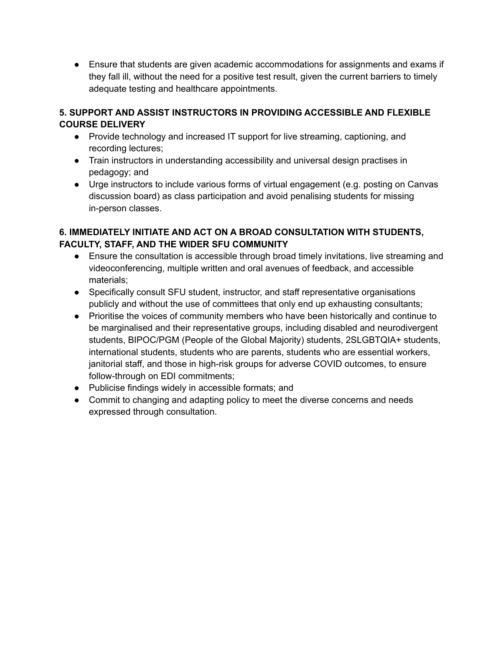● Ensure that students are given academic accommodations for assignments and exams if they fall ill, without the need for a positive test result, given the current barriers to timely adequate testing and healthcare appointments.

### **5. SUPPORT AND ASSIST INSTRUCTORS IN PROVIDING ACCESSIBLE AND FLEXIBLE COURSE DELIVERY**

- Provide technology and increased IT support for live streaming, captioning, and recording lectures;
- Train instructors in understanding accessibility and universal design practises in pedagogy; and
- Urge instructors to include various forms of virtual engagement (e.g. posting on Canvas discussion board) as class participation and avoid penalising students for missing in-person classes.

### **6. IMMEDIATELY INITIATE AND ACT ON A BROAD CONSULTATION WITH STUDENTS, FACULTY, STAFF, AND THE WIDER SFU COMMUNITY**

- **●** Ensure the consultation is accessible through broad timely invitations, live streaming and videoconferencing, multiple written and oral avenues of feedback, and accessible materials;
- Specifically consult SFU student, instructor, and staff representative organisations publicly and without the use of committees that only end up exhausting consultants;
- **●** Prioritise the voices of community members who have been historically and continue to be marginalised and their representative groups, including disabled and neurodivergent students, BIPOC/PGM (People of the Global Majority) students, 2SLGBTQIA+ students, international students, students who are parents, students who are essential workers, janitorial staff, and those in high-risk groups for adverse COVID outcomes, to ensure follow-through on EDI commitments;
- **●** Publicise findings widely in accessible formats; and
- **●** Commit to changing and adapting policy to meet the diverse concerns and needs expressed through consultation.